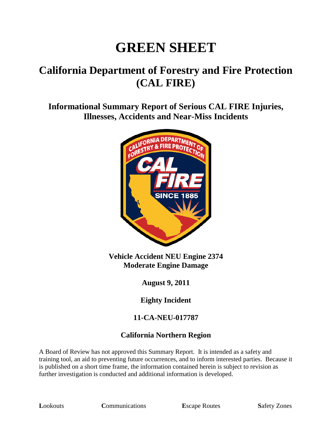# **GREEN SHEET**

# **California Department of Forestry and Fire Protection (CAL FIRE)**

**Informational Summary Report of Serious CAL FIRE Injuries, Illnesses, Accidents and Near-Miss Incidents**



**Vehicle Accident NEU Engine 2374 Moderate Engine Damage**

**August 9, 2011**

**Eighty Incident**

#### **11-CA-NEU-017787**

#### **California Northern Region**

A Board of Review has not approved this Summary Report. It is intended as a safety and training tool, an aid to preventing future occurrences, and to inform interested parties. Because it is published on a short time frame, the information contained herein is subject to revision as further investigation is conducted and additional information is developed.

**Lookouts Communications E**scape Routes **Safety Zones**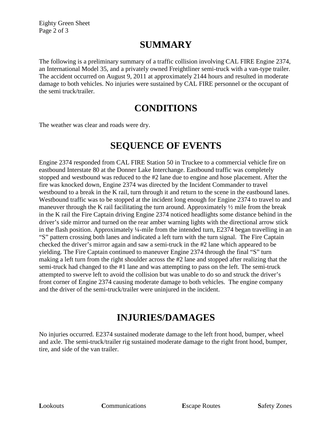Eighty Green Sheet Page 2 of 3

#### **SUMMARY**

The following is a preliminary summary of a traffic collision involving CAL FIRE Engine 2374, an International Model 35, and a privately owned Freightliner semi-truck with a van-type trailer. The accident occurred on August 9, 2011 at approximately 2144 hours and resulted in moderate damage to both vehicles. No injuries were sustained by CAL FIRE personnel or the occupant of the semi truck/trailer.

#### **CONDITIONS**

The weather was clear and roads were dry.

## **SEQUENCE OF EVENTS**

Engine 2374 responded from CAL FIRE Station 50 in Truckee to a commercial vehicle fire on eastbound Interstate 80 at the Donner Lake Interchange. Eastbound traffic was completely stopped and westbound was reduced to the #2 lane due to engine and hose placement. After the fire was knocked down, Engine 2374 was directed by the Incident Commander to travel westbound to a break in the K rail, turn through it and return to the scene in the eastbound lanes. Westbound traffic was to be stopped at the incident long enough for Engine 2374 to travel to and maneuver through the K rail facilitating the turn around. Approximately ½ mile from the break in the K rail the Fire Captain driving Engine 2374 noticed headlights some distance behind in the driver's side mirror and turned on the rear amber warning lights with the directional arrow stick in the flash position. Approximately ¼-mile from the intended turn, E2374 began travelling in an "S" pattern crossing both lanes and indicated a left turn with the turn signal. The Fire Captain checked the driver's mirror again and saw a semi-truck in the #2 lane which appeared to be yielding. The Fire Captain continued to maneuver Engine 2374 through the final "S" turn making a left turn from the right shoulder across the #2 lane and stopped after realizing that the semi-truck had changed to the #1 lane and was attempting to pass on the left. The semi-truck attempted to swerve left to avoid the collision but was unable to do so and struck the driver's front corner of Engine 2374 causing moderate damage to both vehicles. The engine company and the driver of the semi-truck/trailer were uninjured in the incident.

## **INJURIES/DAMAGES**

No injuries occurred. E2374 sustained moderate damage to the left front hood, bumper, wheel and axle. The semi-truck/trailer rig sustained moderate damage to the right front hood, bumper, tire, and side of the van trailer.